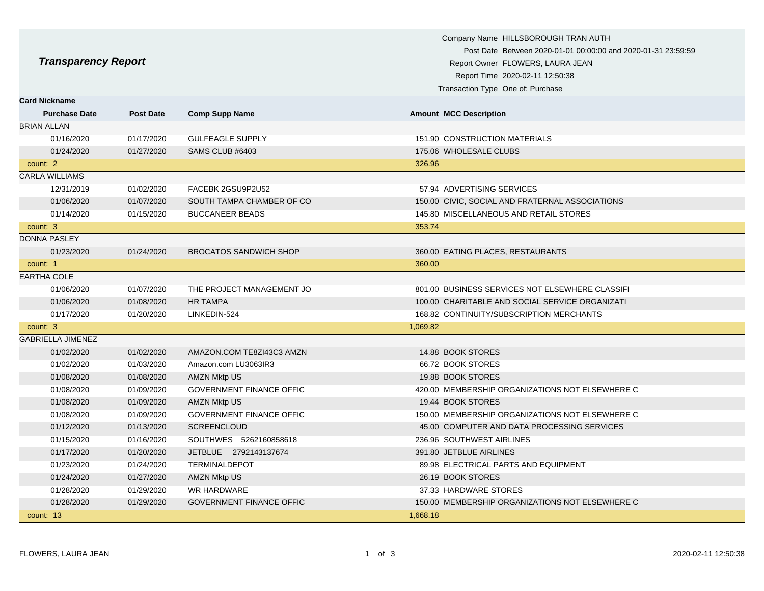|                            |                  |                                 | Company Name HILLSBOROUGH TRAN AUTH<br>Post Date Between 2020-01-01 00:00:00 and 2020-01-31 23:59:59 |
|----------------------------|------------------|---------------------------------|------------------------------------------------------------------------------------------------------|
| <b>Transparency Report</b> |                  |                                 | Report Owner FLOWERS, LAURA JEAN                                                                     |
|                            |                  |                                 | Report Time 2020-02-11 12:50:38                                                                      |
|                            |                  |                                 | Transaction Type One of: Purchase                                                                    |
| <b>Card Nickname</b>       |                  |                                 |                                                                                                      |
| <b>Purchase Date</b>       | <b>Post Date</b> | <b>Comp Supp Name</b>           | <b>Amount MCC Description</b>                                                                        |
| <b>BRIAN ALLAN</b>         |                  |                                 |                                                                                                      |
| 01/16/2020                 | 01/17/2020       | <b>GULFEAGLE SUPPLY</b>         | 151.90 CONSTRUCTION MATERIALS                                                                        |
| 01/24/2020                 | 01/27/2020       | SAMS CLUB #6403                 | 175.06 WHOLESALE CLUBS                                                                               |
| count: 2                   |                  |                                 | 326.96                                                                                               |
| <b>CARLA WILLIAMS</b>      |                  |                                 |                                                                                                      |
| 12/31/2019                 | 01/02/2020       | FACEBK 2GSU9P2U52               | 57.94 ADVERTISING SERVICES                                                                           |
| 01/06/2020                 | 01/07/2020       | SOUTH TAMPA CHAMBER OF CO       | 150.00 CIVIC, SOCIAL AND FRATERNAL ASSOCIATIONS                                                      |
| 01/14/2020                 | 01/15/2020       | <b>BUCCANEER BEADS</b>          | 145.80 MISCELLANEOUS AND RETAIL STORES                                                               |
| count: 3                   |                  |                                 | 353.74                                                                                               |
| <b>DONNA PASLEY</b>        |                  |                                 |                                                                                                      |
| 01/23/2020                 | 01/24/2020       | <b>BROCATOS SANDWICH SHOP</b>   | 360.00 EATING PLACES, RESTAURANTS                                                                    |
| count: 1                   |                  |                                 | 360.00                                                                                               |
| <b>EARTHA COLE</b>         |                  |                                 |                                                                                                      |
| 01/06/2020                 | 01/07/2020       | THE PROJECT MANAGEMENT JO       | 801.00 BUSINESS SERVICES NOT ELSEWHERE CLASSIFI                                                      |
| 01/06/2020                 | 01/08/2020       | <b>HR TAMPA</b>                 | 100.00 CHARITABLE AND SOCIAL SERVICE ORGANIZATI                                                      |
| 01/17/2020                 | 01/20/2020       | LINKEDIN-524                    | 168.82 CONTINUITY/SUBSCRIPTION MERCHANTS                                                             |
| count: 3                   |                  |                                 | 1,069.82                                                                                             |
| <b>GABRIELLA JIMENEZ</b>   |                  |                                 |                                                                                                      |
| 01/02/2020                 | 01/02/2020       | AMAZON.COM TE8ZI43C3 AMZN       | 14.88 BOOK STORES                                                                                    |
| 01/02/2020                 | 01/03/2020       | Amazon.com LU3063IR3            | 66.72 BOOK STORES                                                                                    |
| 01/08/2020                 | 01/08/2020       | <b>AMZN Mktp US</b>             | 19.88 BOOK STORES                                                                                    |
| 01/08/2020                 | 01/09/2020       | <b>GOVERNMENT FINANCE OFFIC</b> | 420.00 MEMBERSHIP ORGANIZATIONS NOT ELSEWHERE C                                                      |
| 01/08/2020                 | 01/09/2020       | <b>AMZN Mktp US</b>             | 19.44 BOOK STORES                                                                                    |
| 01/08/2020                 | 01/09/2020       | <b>GOVERNMENT FINANCE OFFIC</b> | 150.00 MEMBERSHIP ORGANIZATIONS NOT ELSEWHERE C                                                      |
| 01/12/2020                 | 01/13/2020       | <b>SCREENCLOUD</b>              | 45.00 COMPUTER AND DATA PROCESSING SERVICES                                                          |
| 01/15/2020                 | 01/16/2020       | SOUTHWES 5262160858618          | 236.96 SOUTHWEST AIRLINES                                                                            |
| 01/17/2020                 | 01/20/2020       | JETBLUE 2792143137674           | 391.80 JETBLUE AIRLINES                                                                              |
| 01/23/2020                 | 01/24/2020       | <b>TERMINALDEPOT</b>            | 89.98 ELECTRICAL PARTS AND EQUIPMENT                                                                 |
| 01/24/2020                 | 01/27/2020       | <b>AMZN Mktp US</b>             | 26.19 BOOK STORES                                                                                    |
| 01/28/2020                 | 01/29/2020       | <b>WR HARDWARE</b>              | 37.33 HARDWARE STORES                                                                                |
| 01/28/2020                 | 01/29/2020       | <b>GOVERNMENT FINANCE OFFIC</b> | 150.00 MEMBERSHIP ORGANIZATIONS NOT ELSEWHERE C                                                      |
| count: 13                  |                  |                                 | 1,668.18                                                                                             |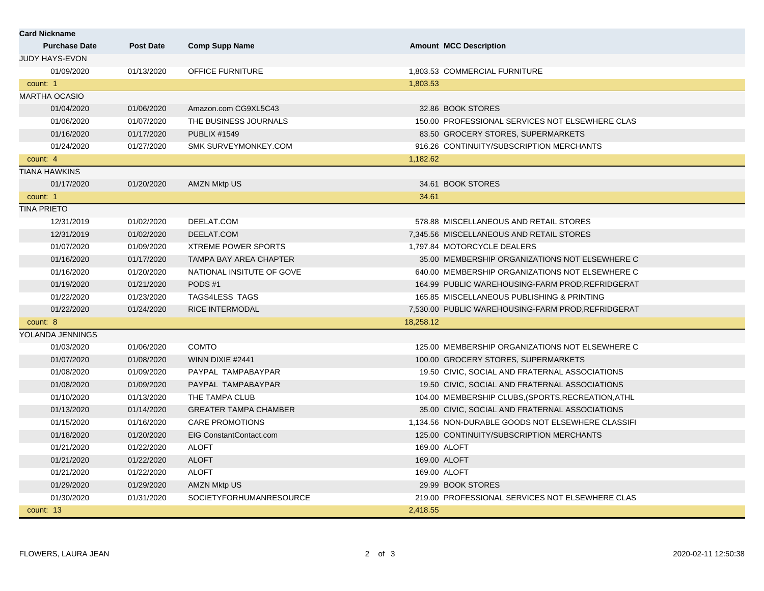| <b>Card Nickname</b>  |                  |                                |                                                    |
|-----------------------|------------------|--------------------------------|----------------------------------------------------|
| <b>Purchase Date</b>  | <b>Post Date</b> | <b>Comp Supp Name</b>          | <b>Amount MCC Description</b>                      |
| <b>JUDY HAYS-EVON</b> |                  |                                |                                                    |
| 01/09/2020            | 01/13/2020       | OFFICE FURNITURE               | 1,803.53 COMMERCIAL FURNITURE                      |
| count: 1              |                  |                                | 1,803.53                                           |
| <b>MARTHA OCASIO</b>  |                  |                                |                                                    |
| 01/04/2020            | 01/06/2020       | Amazon.com CG9XL5C43           | 32.86 BOOK STORES                                  |
| 01/06/2020            | 01/07/2020       | THE BUSINESS JOURNALS          | 150.00 PROFESSIONAL SERVICES NOT ELSEWHERE CLAS    |
| 01/16/2020            | 01/17/2020       | <b>PUBLIX #1549</b>            | 83.50 GROCERY STORES, SUPERMARKETS                 |
| 01/24/2020            | 01/27/2020       | SMK SURVEYMONKEY.COM           | 916.26 CONTINUITY/SUBSCRIPTION MERCHANTS           |
| count: 4              |                  |                                | 1,182.62                                           |
| TIANA HAWKINS         |                  |                                |                                                    |
| 01/17/2020            | 01/20/2020       | <b>AMZN Mktp US</b>            | 34.61 BOOK STORES                                  |
| count: 1              |                  |                                | 34.61                                              |
| <b>TINA PRIETO</b>    |                  |                                |                                                    |
| 12/31/2019            | 01/02/2020       | DEELAT.COM                     | 578.88 MISCELLANEOUS AND RETAIL STORES             |
| 12/31/2019            | 01/02/2020       | DEELAT.COM                     | 7,345.56 MISCELLANEOUS AND RETAIL STORES           |
| 01/07/2020            | 01/09/2020       | <b>XTREME POWER SPORTS</b>     | 1,797.84 MOTORCYCLE DEALERS                        |
| 01/16/2020            | 01/17/2020       | <b>TAMPA BAY AREA CHAPTER</b>  | 35.00 MEMBERSHIP ORGANIZATIONS NOT ELSEWHERE C     |
| 01/16/2020            | 01/20/2020       | NATIONAL INSITUTE OF GOVE      | 640.00 MEMBERSHIP ORGANIZATIONS NOT ELSEWHERE C    |
| 01/19/2020            | 01/21/2020       | PODS#1                         | 164.99 PUBLIC WAREHOUSING-FARM PROD, REFRIDGERAT   |
| 01/22/2020            | 01/23/2020       | TAGS4LESS TAGS                 | 165.85 MISCELLANEOUS PUBLISHING & PRINTING         |
| 01/22/2020            | 01/24/2020       | <b>RICE INTERMODAL</b>         | 7,530.00 PUBLIC WAREHOUSING-FARM PROD, REFRIDGERAT |
| count: 8              |                  |                                | 18,258.12                                          |
| YOLANDA JENNINGS      |                  |                                |                                                    |
| 01/03/2020            | 01/06/2020       | <b>COMTO</b>                   | 125.00 MEMBERSHIP ORGANIZATIONS NOT ELSEWHERE C    |
| 01/07/2020            | 01/08/2020       | WINN DIXIE #2441               | 100.00 GROCERY STORES, SUPERMARKETS                |
| 01/08/2020            | 01/09/2020       | PAYPAL TAMPABAYPAR             | 19.50 CIVIC, SOCIAL AND FRATERNAL ASSOCIATIONS     |
| 01/08/2020            | 01/09/2020       | PAYPAL TAMPABAYPAR             | 19.50 CIVIC, SOCIAL AND FRATERNAL ASSOCIATIONS     |
| 01/10/2020            | 01/13/2020       | THE TAMPA CLUB                 | 104.00 MEMBERSHIP CLUBS. (SPORTS, RECREATION, ATHL |
| 01/13/2020            | 01/14/2020       | <b>GREATER TAMPA CHAMBER</b>   | 35.00 CIVIC, SOCIAL AND FRATERNAL ASSOCIATIONS     |
| 01/15/2020            | 01/16/2020       | <b>CARE PROMOTIONS</b>         | 1,134.56 NON-DURABLE GOODS NOT ELSEWHERE CLASSIFI  |
| 01/18/2020            | 01/20/2020       | <b>EIG ConstantContact.com</b> | 125.00 CONTINUITY/SUBSCRIPTION MERCHANTS           |
| 01/21/2020            | 01/22/2020       | <b>ALOFT</b>                   | 169.00 ALOFT                                       |
| 01/21/2020            | 01/22/2020       | <b>ALOFT</b>                   | 169.00 ALOFT                                       |
| 01/21/2020            | 01/22/2020       | <b>ALOFT</b>                   | 169.00 ALOFT                                       |
| 01/29/2020            | 01/29/2020       | <b>AMZN Mktp US</b>            | 29.99 BOOK STORES                                  |
| 01/30/2020            | 01/31/2020       | SOCIETYFORHUMANRESOURCE        | 219.00 PROFESSIONAL SERVICES NOT ELSEWHERE CLAS    |
| count: 13             |                  |                                | 2,418.55                                           |